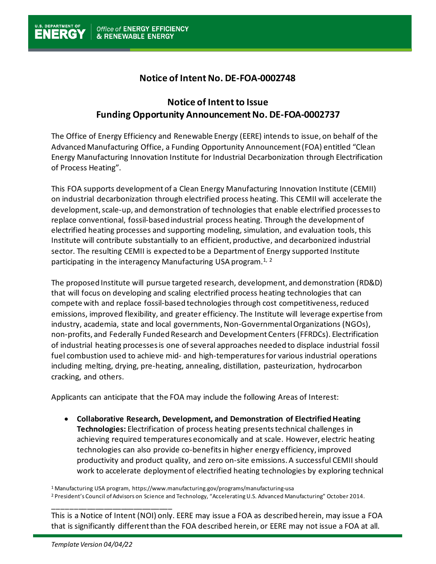## **Notice of Intent No. DE-FOA-0002748**

## **Notice of Intent to Issue Funding Opportunity Announcement No. DE-FOA-0002737**

The Office of Energy Efficiency and Renewable Energy (EERE) intends to issue, on behalf of the Advanced Manufacturing Office, a Funding Opportunity Announcement (FOA) entitled "Clean Energy Manufacturing Innovation Institute for Industrial Decarbonization through Electrification of Process Heating".

This FOA supports development of a Clean Energy Manufacturing Innovation Institute (CEMII) on industrial decarbonization through electrified process heating. This CEMII will accelerate the development, scale-up, and demonstration of technologies that enable electrified processes to replace conventional, fossil-based industrial process heating. Through the development of electrified heating processes and supporting modeling, simulation, and evaluation tools, this Institute will contribute substantially to an efficient, productive, and decarbonized industrial sector. The resulting CEMII is expected to be a Department of Energy supported Institute participating in the interagency Manufacturing USA program. $1/2$ 

The proposed Institute will pursue targeted research, development, and demonstration (RD&D) that will focus on developing and scaling electrified process heating technologies that can compete with and replace fossil-based technologies through cost competitiveness, reduced emissions, improved flexibility, and greater efficiency. The Institute will leverage expertise from industry, academia, state and local governments, Non-Governmental Organizations (NGOs), non-profits, and Federally Funded Research and Development Centers (FFRDCs). Electrification of industrial heating processes is one of several approaches needed to displace industrial fossil fuel combustion used to achieve mid- and high-temperatures for various industrial operations including melting, drying, pre-heating, annealing, distillation, pasteurization, hydrocarbon cracking, and others.

Applicants can anticipate that the FOA may include the following Areas of Interest:

• **Collaborative Research, Development, and Demonstration of Electrified Heating Technologies:** Electrification of process heating presentstechnical challenges in achieving required temperatures economically and at scale. However, electric heating technologies can also provide co-benefitsin higher energy efficiency, improved productivity and product quality, and zero on-site emissions. A successful CEMII should work to accelerate deployment of electrified heating technologies by exploring technical

<sup>1</sup> Manufacturing USA program, https://www.manufacturing.gov/programs/manufacturing-usa <sup>2</sup> President's Council of Advisors on Science and Technology, "Accelerating U.S. Advanced Manufacturing" October 2014.

This is a Notice of Intent (NOI) only. EERE may issue a FOA as described herein, may issue a FOA that is significantly different than the FOA described herein, or EERE may not issue a FOA at all.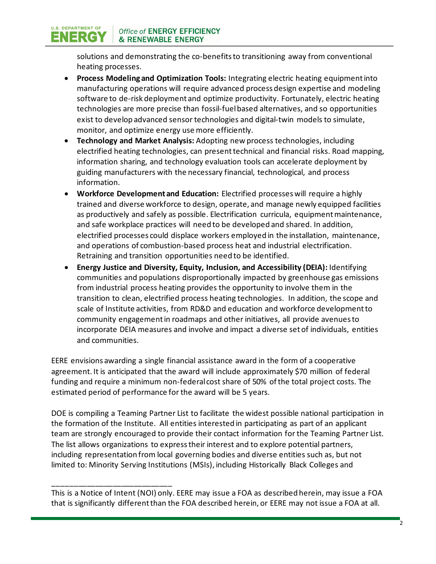Office of ENERGY EFFICIENCY **& RENEWABLE ENERGY** 

**U.S. DEPARTMENT OF** 

ENERG

solutions and demonstrating the co-benefits to transitioning away from conventional heating processes.

- **Process Modeling and Optimization Tools:** Integrating electric heating equipment into manufacturing operations will require advanced process design expertise and modeling software to de-risk deployment and optimize productivity. Fortunately, electric heating technologies are more precise than fossil-fuel based alternatives, and so opportunities exist to develop advanced sensor technologies and digital-twin models to simulate, monitor, and optimize energy use more efficiently.
- **Technology and Market Analysis:** Adopting new process technologies, including electrified heating technologies, can presenttechnical and financial risks. Road mapping, information sharing, and technology evaluation tools can accelerate deployment by guiding manufacturers with the necessary financial, technological, and process information.
- **Workforce Development and Education:** Electrified processes will require a highly trained and diverse workforce to design, operate, and manage newly equipped facilities as productively and safely as possible. Electrification curricula, equipment maintenance, and safe workplace practices will need to be developed and shared. In addition, electrified processes could displace workers employed in the installation, maintenance, and operations of combustion-based process heat and industrial electrification. Retraining and transition opportunities need to be identified.
- **Energy Justice and Diversity, Equity, Inclusion, and Accessibility (DEIA):** Identifying communities and populations disproportionally impacted by greenhouse gas emissions from industrial process heating provides the opportunity to involve them in the transition to clean, electrified process heating technologies. In addition, the scope and scale of Institute activities, from RD&D and education and workforce development to community engagement in roadmaps and other initiatives, all provide avenues to incorporate DEIA measures and involve and impact a diverse set of individuals, entities and communities.

EERE envisions awarding a single financial assistance award in the form of a cooperative agreement. It is anticipated that the award will include approximately \$70 million of federal funding and require a minimum non-federal cost share of 50% of the total project costs. The estimated period of performance for the award will be 5 years.

DOE is compiling a Teaming Partner List to facilitate the widest possible national participation in the formation of the Institute. All entities interested in participating as part of an applicant team are strongly encouraged to provide their contact information for the Teaming Partner List. The list allows organizations to express their interest and to explore potential partners, including representation from local governing bodies and diverse entities such as, but not limited to: Minority Serving Institutions (MSIs), including Historically Black Colleges and

This is a Notice of Intent (NOI) only. EERE may issue a FOA as described herein, may issue a FOA that is significantly different than the FOA described herein, or EERE may not issue a FOA at all.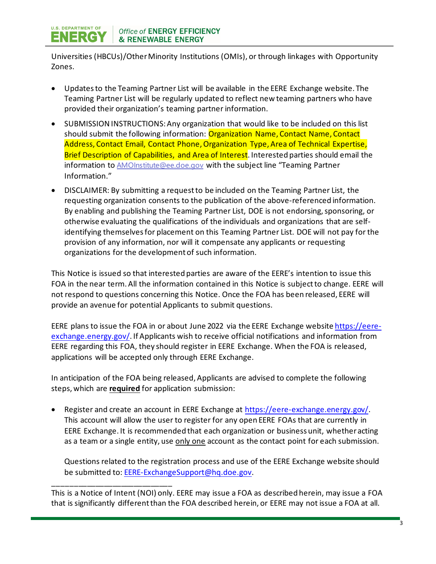

Universities (HBCUs)/Other Minority Institutions (OMIs), or through linkages with Opportunity Zones.

- Updates to the Teaming Partner List will be available in the EERE Exchange website. The Teaming Partner List will be regularly updated to reflect new teaming partners who have provided their organization's teaming partner information.
- SUBMISSION INSTRUCTIONS: Any organization that would like to be included on this list should submit the following information: Organization Name, Contact Name, Contact Address, Contact Email, Contact Phone, Organization Type, Area of Technical Expertise, Brief Description of Capabilities, and Area of Interest. Interested parties should email the information to **[AMOInstitute@ee.doe.gov](mailto:AMOInstitute@ee.doe.gov)** with the subject line "Teaming Partner Information."
- DISCLAIMER: By submitting a request to be included on the Teaming Partner List, the requesting organization consents to the publication of the above-referenced information. By enabling and publishing the Teaming Partner List, DOE is not endorsing, sponsoring, or otherwise evaluating the qualifications of the individuals and organizations that are selfidentifying themselves for placement on this Teaming Partner List. DOE will not pay for the provision of any information, nor will it compensate any applicants or requesting organizations for the development of such information.

This Notice is issued so that interested parties are aware of the EERE's intention to issue this FOA in the near term. All the information contained in this Notice is subject to change. EERE will not respond to questions concerning this Notice. Once the FOA has been released, EERE will provide an avenue for potential Applicants to submit questions.

EERE plans to issue the FOA in or about June 2022 via the EERE Exchange websit[e https://eere](https://eere-exchange.energy.gov/)[exchange.energy.gov/](https://eere-exchange.energy.gov/). If Applicants wish to receive official notifications and information from EERE regarding this FOA, they should register in EERE Exchange. When the FOA is released, applications will be accepted only through EERE Exchange.

In anticipation of the FOA being released, Applicants are advised to complete the following steps, which are **required** for application submission:

• Register and create an account in EERE Exchange at<https://eere-exchange.energy.gov/>. This account will allow the user to register for any open EERE FOAs that are currently in EERE Exchange. It is recommended that each organization or business unit, whether acting as a team or a single entity, use only one account as the contact point for each submission.

Questions related to the registration process and use of the EERE Exchange website should be submitted to: [EERE-ExchangeSupport@hq.doe.gov.](mailto:EERE-ExchangeSupport@hq.doe.gov)

This is a Notice of Intent (NOI) only. EERE may issue a FOA as described herein, may issue a FOA that is significantly different than the FOA described herein, or EERE may not issue a FOA at all.